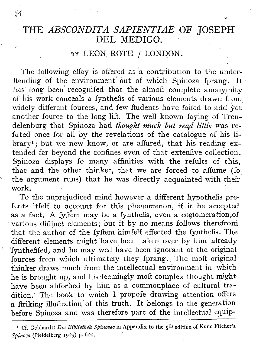## THE *ABSCONDITA SAPIENTIAE* OF JOSEPH DEL MEDIGO.

### BY LEON ROTH / LONDON.

The following effay is offered as a contribution to the underftanding of the environment out of which Spinoza fprang. It has long. been' recognifed that the almoft complete anonymity of his work conceals a fynthefis of various elements drawn from widely different fources, and few ftudents have failed to add yet another fource to the long lift. The well known faying of Trendelenburg that Spinoza had *thought much but read little* was refuted once for all by the revelations of the catalogue of his library<sup>1</sup>; but we now know, or are affured, that his reading extended far beyond the confines even of that extenfive collection. Spinoza displays fo many affinities with the refults of this, that and the other thinker, that we are forced to affume (Io the argument runs) that he was directly acquainted with their<br>work.

To the unprejudiced mind however a different hypothefis prefents itfelf to account for this phenomenon, if it be accepted as a fact. A fyftem may be a fynthefis, even a coglomeration,of 'various diftinct elements; but it by no means follows therefrom that the author of the fyftem himfelf effected the fynthefis. The different elements might 'have been taken over by him already Iynthefifed, and he may well have been ignorant of the original fources from which ultimately they fprang. The moft original thinker draws much from the intellectual environment in which he is brought up, and his·feemingly moft complex thought might. have been abforbed by him as a commonplace of cultural tradition. The book to which I propofe drawing attention offers a Itriking illuftration of this truth. It. belongs to the generation before Spinoza and was therefore part of the intellectual equip-

1 Cf. Gebhardt: *Die Bibliothek Spinozas* in Appendix to the 5th edition of Kuno Fifcher's *Spinosa* (Heidelberg 1909) p. 600.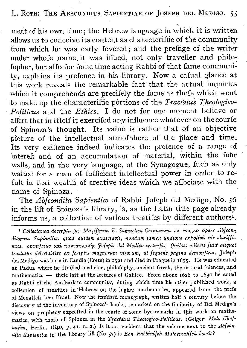### L. ROTH: THE ABSCONDITA SAPIENTIAE OF JOSEPH DEL MEDIGO. 55

ment of his own time; the Hebrew language in which it is written allows us to conceive its content as characteriftic of the community from which he was early fevered; and the preftige of the writer under whofe name. it was iffued, not only traveller and philofopher, but alfo for fome time acting Rabbi of that fame community, explains its .prefence in his library. Now a cafual glance at this work reveals the remarkable fact that the actual inquiries which it comprehends are precifely the fame as thofe which went to make up the characteriftic portions of the *Tractaius Theologico-Politicus* and the *Ethics.* I do not for one moment believe or affert that in itfelf it exercifed any influence whatever on thecourfe of Spinoza's thought. Its .value is rather that of an objective picture of the intellectual atmofphere of the place and time. Its very exiftence indeed indicates the pretence of a range of intereft and of an accumulation of material, within the four walls, and in the very language, of the Synagogue, fuch as only waited for a man of fufficient intellectual power in order to refult in that wealth of creative ideas which we aflociate with the name of Spinoza.

The *Ab[condita Sapieniia:* of Rabbi Jofeph del Medigo, No. 56 in the lift of Spinoza's library, is, as the Latin title page already informs us, a collection of various treatifes by different authors<sup>1</sup>.

1*Collectanea decerpta per Magijlrum R. Samuelem Germanum ex magno opere Abjcon « ditorum Sapientice: quod quidem ~xasciavit, nondum tamen undique expoliuit vir clarillimus, omnijcius* KOCL 1tOCV't"01tAOCV1)<:; *'Jojeph del Medico cretenjis.Quibus adiecti junt aliquot tractatus delectabiles ex [criptis magnorum virorum, ut [equens pagina demonltrai.* Jofeph del Medigo was born in Candia (Crete) in 1591 and died in Prague in 1655. He was educated at Padua where he ftudied medicine, philofophy, ancient Greek, the natural fciences, and mathematics  $-$  thefe laft at the lectures of Galileo. From about  $1628$  to 1630 he acted as Rabbi of the Amfterdam community, during which time his other publifhed work, a collection of treatifes in Hebrew on the higher mathematics, appeared from the prefs of Menaffeh ben Ifrael. Now the ftandard monograph, written half a century before the discovery of the inventory of Spinoza's books, remarked on the fimilarity of Del Medigo's views on prophecy expreffed in the courfe of fome bye-remarks in this work on mathematics, with thofe of Spinoza in the *Tractaius Theologico-Politicus.* (Geiger: *Melo Cho] najim,* Berlin, 1840, p. 41, n. 2.) Is it an"accident that the volume next to the *Ablcondita Sapientice* in the library lift (No 57) is *Een Rabbinijch Mathematijch boeck?*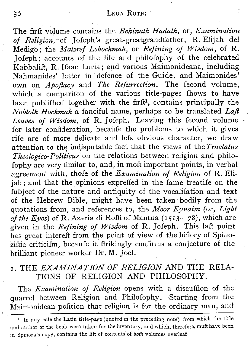The firft volume contains the *Behinath Hadath,* or, *Examination of Religion,-of* Jofeph's great-greatgrandfather, R. Elijah del Medigo; the *Matzref Lehochmah*, or *Refining* of *Wisdom*, of R. J ofeph ; accounts of the life and philofophy of the celebrated Kabbalift, R. Ifaac Luria; and various Maimonideana, including Nahmanides' letter in defence of the Guide, and Maimonides' own on *Apofiacy* and *The Refurrection.* The fecond volume, which a comparifon of the various title-pages fhows to have been publifhed together with the firft<sup>1</sup>, contains principally the *Nobloth Hochmah* a fanciful name, perhaps to be translated *Lafl Leaves of Wisdom,* of R. Jofeph. Leaving this fecond volume for later confideration, becaufe the problems to which it gives rife are of more delicate. and lefs obvious character, we draw attention *to* the indisputable fact that the views of the *Tractatus Theologico-Politicus:*on the relations between religion and philofophy are very fimilar to, and, in molt important points, in verbal agreement with, thofe of the *Examination of Religion* of R. Elijah; and that the opinions expreffed in the fame treatife on the fubject of the nature and antiquity of the vocalifation and text of the Hebrew Bible, might have been taken bodily. from the quotations from, and references to, the *Meor Eynaim* (or, *Light of the Eyes)* of R. Azaria di Roffi of Mantua (15I3-78), which are given in the *Refining of Wisdom* of R. Jofeph. This laft point has great intereft from the point of view of the hiftory of Spinoziftic criticifm, becaufe it ftrikingly confirms a conjecture of the brilliant pioneer worker Dr. M. Joel.

## I. THE *EXAMINATION OF RELIGION* AND THE RELA-TIONS OF RELIGION AND PHILOSOPHY.

The *Examination of Religion* opens with a discuffion of the quarrel between Religion and Philofophy. Starting from the Maimonidean pofition that religion is for the ordinary man, and i

<sup>1</sup> In any cafe the Latin title-page (quoted in the preceding note) from which the title and author of the book were taken for the inventory, and which, therefore, muft have been in Spinoza's copy, contains the lift of contents' of *both* volumes overleaf.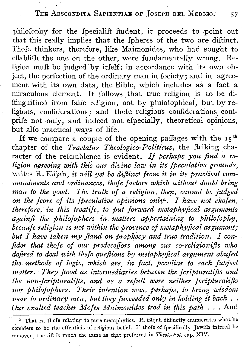## THE ABSCONDITA SAPIENTIAE OF JOSEPH DEL MEDIGO. 57

philofophy for the fpecialift ftudent, it proceeds to point out that this really implies that the fpheres of the two are diftinct. Thofe thinkers, therefore, like Maimonides, who had sought to eftablifh the one on the other, were fundamentally wrong. Religion muft be judged by itfelf: in accordance with its own object, the perfection of the ordinary man in fociety; and in agreement with its own data, the Bible, which includes as a fact a miraculous element. It follows, that true religion is to be diftinguifhed from falfe religion, not by philofophical, but by religious, confiderations; and thefe religious confiderations comprife not only, and indeed not efpecially, theoretical opinions, but aHo practical ways of life. .

If we compare a couple of the opening paffages with the  $15<sup>th</sup>$ chapter of the *Tractatus Theologico-Politicus,* the ftriking character of the refemblence is evident. *If perhaps you find a religion agreeing with thi~ our divine law in its' fpeculative grounds,* writes R. Elijah, *it will yet be diflinct from it in its practical commandments and ordinances, tho]e factors which without doubt bring man to the good. 'The truth of a religion, then, cannot be judged on the [core of its Jpeculative opinions only», I have not chofen, therefore, in this treatiJe, to put forward; metaphyfical arguments againfl the philofophers in. matters appertaining to philofophy, becaufe religion is not within the province of metaphyfical argument,' but I have taken my fland on prophecy and true tradition. I con- fider that thoJe of our predeceffors among our co-religionifls who defired to deal with the]e queflions by metaphyfical argument abufed the methods of logic, which are, in fact, peculiar to each fubject matter. They flood as intermediaries between the Jcripturalifls and the non-fcripturalifls, and as a refult were neither [cripturalifis nor philofophers. Their intention was, perhaps, to bring wisdom near to ordinary men, but they fucceeded only in holding it back* ... *Our exalted teacher MoJes Maimonides trod in this path ...* And

<sup>1</sup> That is, thole relating to pure metaphyfics. R. Elijah diftinctly enumerates what he confiders to be the effentials of religious belief. If thofe of fpecifically Jewifh intereft be removed, the lift is much the fame as that proferred in *Theol.-Pol.* cap. XIV.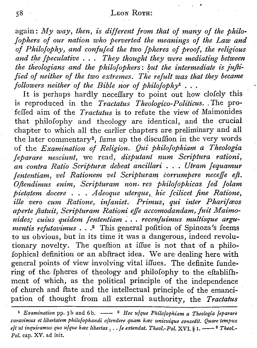again: *My way, then,* is *different from that of many of the philo- [ophers of our nation who perverted the meanings of the Law and of Philofopky, and confuJed the two [pheres of proof, the religious and the (peculative ... They thought they were mediating between the theologians and the philoJophers: but the intermediate is juJii. fied* of neither of the *two* extremes. The refult was that they became *followers neither of the Bible nor of philofophy*<sup>1</sup> ...

It is perhaps hardly neceffary to point out how clofely this is reproduced in the *Tractatus Theologico-Politicus ..* The pro- 'feffed aim of the *Tractatus* is to refute the view of Maimonides that philofophy and theology are identical, and the crucial chapter to which all the earlier chapters are preliminary and all the later commentary<sup>2</sup>, fums up the discuffion in the very words of the *Examination of Religion.. Qui philoJophiam a Theologia [eparare nesciunt,* we read, *disputant num Scriptura rationi, an contra Ratio Scripturce debeat ancillari .. '. Utram Jequamur Jententiam, vel Rationem vel Scripturam corrumpere neceffe eft. Oflendimus enim, Scripturam non. res PhiloJophicas Jed [olam pietatem docere ... Adeoque uterque,. hic Jcilicet fine Ratione, ille vero cum Ratione, infaniet: Primus; qui inter PhariJceos aperte flatu it, Scripturam Rationi e11eaccomodandam, juit Maimonides; cuius quidem [enteniiam . . . recenfuimus multisque argumentis refutavimus* . . .<sup>3</sup> This general pofition of Spinoza's feems to us obvious, but in its time it was a dangerous, indeed revolutionary novelty. The queftion at iffue is not that of a philofophical definition or an abftract idea. We are dealing here with general points of view involving vital iflues. The definite fundering of the fpheres of theology and philofophy to the eftablifhment of which, as the political principle of the independence of church and Itate and the intellectual principle of the emancipation of thought from all external authority, the *Tractatus*

<sup>1</sup> *Examination* pp. 3b and 6b.  $\frac{2}{\pi}$  *Hoc u|que Philojophiam a Theologia Jeparare curavimus et libertatem philojophandi ojtendere quam hac unicuique concedit. Quare tempus e*]*t ut inquiramus quo u*]*que hœc libertas , . . ]e extendat. Theol.-Pol.* XVI. § 1. ---- <sup>3</sup> *Theol.-Pol.* cap. XV. ad init,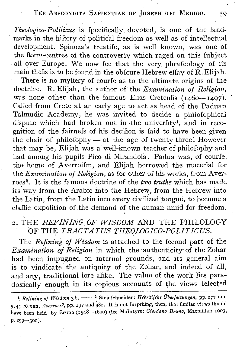## THE ABSCONDITA SAPIENTIAE OF JOSEPH DEL MEDIGO. 59 ,

*Theologico-Poliiicus* is fpecifically devoted, is one of the landmarks in the hiftory of political freedom as well as of intellectual development. Spinoza's treatife, as is well known, was one of the ftorm-centres of the controverfy which raged on this Iubject all over Europe. We now fee that the very phrafeology of its main thefis is to be found in the obfcure Hebrew effay of R. Elijah. There is no myftery of courfe as to the ultimate origins of the doctrine. R. Elijah, the author of the *Examination of Religion,* was none other than the famous Elias Cretenfis  $(1460 - 1497)$ . .Called from Crete at an early age to act as head of the Paduan Talmudic 'Academy, he was invited to decide a philofophical dispute which had broken out in the univerfity<sup>1</sup>, and in recognition of the fairnefs of his decifion is faid to have been given the chair of philofophy - at the age of twenty three! However that may be, Elijah was a' well-known teacher of philofophy and. had among his pupils Pico di Mirandola. Padua was, of courfe, the' home of Averroifm, and Elijah borrowed the material for the *Examination of Religion,* as for other of his works, from Averroes<sup>2</sup>. It is the famous doctrine of the *two truths* which has made its' way from the Arabic into the Hebrew, from the Hebrew into the Latin, from the Latin into every civilized 'tongue, to become a claffic expofition of the demand of the human mind for freedom. .<br>.

## 2. THE *REFINING OF WISDOM* AND THE PHILOLOGY OF THE *TRACTATUS THEOLOGICO-POLITICUS.* i

,.

The *Refining of Wisdom* is attached to the fecond part of the *Examination of Religion* in which the authenticity' of the Zohar had been impugned on internal grounds, and its general aim is to vindicate the antiquity of the Zohar, and indeed of all, and any, traditional lore alike. The value of the work lies paradoxically enough in its copious accounts of the views felected

<sup>&</sup>lt;sup>1</sup> Refining of Wisdom 3b. - <sup>2</sup> Steinfchneider: *Hebräilche Überfetzungen*, pp. 277 and 974; Renan, *Auerroes',* pp. <sup>197</sup> and 382. It is not furprifing, then, that fimilar views fhould have been held by Bruno (1548-1600) (fee McIntyre: *Giordano Bruno*, Macmillan 1903,  $p.299 - 300$ ).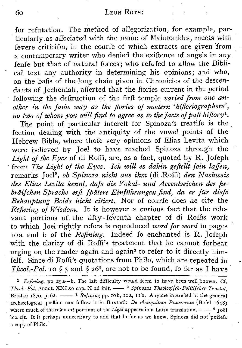for refutation. The method of allegorization, for example, particularly.as alTociated with the name of Maimonides; meets with fevere criticifm, in the courfe of which extracts are given 'from a contemporary writer who denied the exiftence of angels in any fenfe but that of natural forces; who refufed to allow the Bibli cal text any authority in determining his opinions; and who, on the balls of the long chain given in Chronicles of the descendants of Jechoniah, afferted that the ftories current in the period following the deftruction of the firft temple *varied from one another in the fame way as the flories of modern 'hifloriographers', no two of whom you will find to agree as to the facts of pafl hiflory",*

The point of particular intereft for Spinoza's treatife is the fection dealing with the antiquity of the vowel points of the Hebrew Bible, where thofe very opinions of Elias Levita which were believed by Joel to have reached Spinoza through the *Light of the Eyes* of di Roffi, are, as a fact, quoted by R. Jofeph . from *The Light of the Eyes. Ich will es dahin geflellt [ein laffen,* remarks Joel<sup>2</sup>, *ob Spinoza nicht aus ihm* (di Roffi) *den Nachweis des Elias Levita kennt, dafs die Vokal- und Accentzeichen der fzebrdifchen Sprache erfl [pdtere Einfuhrungen find, da er fur diefe Behauptung Beide nicht. citiert.* Nor of courfe does he cite the *Refining of Wisdom.* It is however <sup>a</sup> curious fact that the relevant portions of. the fifty- Ieverith chapter of di Roffis work to which Joel rightly refers is reproduced *word* for *word* in pages roa and b of the *Refining*. Indeed fo enchanted is R. Jofeph with the clarity of di Roffi's treatment that he cannot forbear urging on the reader again and again<sup>3</sup> to refer to it directly himfelf. Since di Roffi's quotations from Philo, which are repeated in *Theol.-Pol.* 10  $\frac{2}{3}$  and  $\frac{264}{3}$  are not to be found, fo far as I have

<sup>1</sup> *Refining*, pp. 29a-b. The laft difficulty would feem to have been well known. Cf. *Theol.-Pol.* Annot. XXI to cap. X ad init. - <sup>2</sup> *Spinozas Theologijch-Politijcher Tractat*, Breslau 1870, p. 62.  $\frac{3}{R}$  *Refining* pp. 10b, 11a, 11b. Anyone interefted in the general archæological queftion can follow it in Buxtorf: *De Antiquitate Punctorum* (Bafel 1648) where much of the relevant portions of the *Light* appears in a Latin translation.  $\frac{4}{100}$  Toel loc. cit. It is perhaps unneceffary to add that fo far as we know, Spinoza did not poffefs a copy of Philo.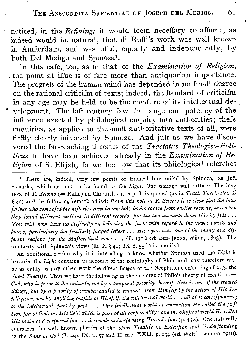### THE ABSCONDITA SAPIENTIAE OF JOSEPH DEL MEDIGO. 61

noticed, in the *Refining*; it would feem neceffary to affume, as indeed would be natural, that di Roffi's work was well known in Amfterdam, and was ufed, equally and independently, by both Del Medigo and Spinoza<sup>1</sup>.

In this cafe, too, as in that of the *Examination* of *Religion*, . the point at iffue is of fare more than antiquarian importance. The progrefs of the human mind has depended in no fmall degree on the rational criticifm of texts; indeed, the Itandard of criticifm in any age may be held to be the meafure of its intellectual de velopment. The laft century faw the range and potency of the influence exerted by philological enquiry into authorities; thefe enquiries, as applied to the moft authoritative texts of all, were firftly clearly initiated by Spinoza , And juft as we have discovered the far-reaching theories of the *Tractatus Theologico-Poli- • ticus* to have been achieved already in the *Examination of Religion* of R. Elijah, fo we fee now that its philological referches

<sup>1</sup> There are, indeed, very few points of Biblical lore raifed by Spinoza, as Joël remarks, which are not' to be found in the *Light.* One paftage will fuffice: The long note of *R. Selomo* (= Rafhi) on Chronicles I. cap. 8, is quoted (as in *Tract. Theol.-Pol.* <sup>X</sup> § 40) and the following 'remark added: *From this note of R. Selomo it is clear that the later fcribes who compofed the hiftories even in our holy books copied from earlier records, and when they found different oerlions in different records, put the two accounts down fide by fide ..• You will now have no difficulty in believing the fame with regard to the vowel points and , letters, particularly the fimilarly [hoped letters ... Here you have one of the many and different realons for the Mafforetical notes ...* (I: 131 bed': Ben-Jacob, Wilna, 1863). The fimilarity with Spinoza's views (ib. X  $\S$  41; IX S. 55f.) is manifeft.

An additional reafon why it is interefting to know whether Spinoza used the *Light* is , becaufe the *Light* contains an account of the philofophy of Philo and may therefore well be as eafily as any other work the direct founce of the Neoplatonic colouring of e. g. the *Short Treatife.* Thus we have the following in the account of Philo's theory of creation: $-$ God, who is prior to the univerfe, not by a temporal priority, becaufe time is one of the created *things" but by a priority of number caufed to emanate from Himfelf by the action of His intelligence, not by anything outfide of Himjelf, the intellectual world ... all of it correfponding , ' to the intellectual, part by part ... This intellectual world of emanation He called the firft* born fon of God, or, His light which is pure of all corporeality; and the phyfical world He called *His plain and corporeal [on ... the whole univerfe being His only [on.* (p. 43 a). One naturally compares the well known phrafes of the *Short Treatife* on *Extenfion and Underftanding* as the *Sons of God* (I. cap. IX, p. 57 and II cap. XXII, p. 134 (ed. Wolf, London 1910).

*j*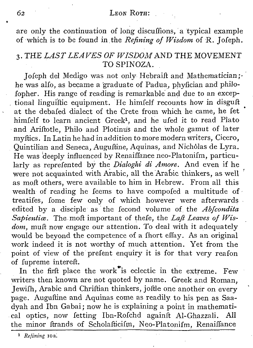are only the continuation of long discuffions, a typical example of which is to De found in.the *Refining of Wisdom* of R. Jofeph.

## 3. THE *LAST LEAVES OF WISDOM* AND THE MOVEMENT TO SPINOZA.

Jofeph del Medigo was not only Hebraift and Mathematician; he was alfo, as became a graduate of Padua, phyfician and philofopher. His range of reading is remarkable' and due to an exceptional linguiftic equipment. He himfelf recounts how in disguft at the debafed dialect of the Crete from which he came, he fet himfelf to learn ancient Greek<sup>1</sup>, and he ufed it to read Plato . and Ariftotle, Philo and Plotinus and the whole gamut of later myftics, In Latin he had in addition to more modern writers, Cicero, Quintilian and Seneca, Auguftine, Aquinas, and Nicholas de Lyra. He was deeply influenced by Renaiffance neo-Platonifm, particularly as reprefented by the *Dialoghi di Amore.* And even if he were not acquainted with Arabic, all the Arabic thinkers, as well as molt others, were available to him in Hebrew. From all this wealth of reading he feems to have compofed a multitude of treatifes, fome few only of which however were afterwards edited by a disciple as 'the fecond volume of. the *Abfcondita Sapieniice,* The moft important of thefe, the *Lafl Leaves of Wisdom,* mufi now engage our attention. To deal with it adequately would be beyond the competence of a fhort effay. As an original work indeed it is not worthy of much attention. Yet from the point of view of the' prefent enquiry it is for that very reafon of fupreme intereft.

In the firft place the work<sup>the</sup> is eclectic in the extreme. Few writers then known are not quoted by name. Greek and Roman, Jewifh, Arabic and Chriftian thinkers, joftle one another on every page. Auguftine and Aquinas come as readily to his pen as Saadyah and Ibn Gabai; now he is explaining a point in mathematical optics, now fetting Ibn-Rofchd againft Al-Ghazzali. All the minor ftrands of Scholafticifm, Neo-Platonifm, Renaiffance

<sup>&</sup>lt;sup>1</sup> *Refining* 10a.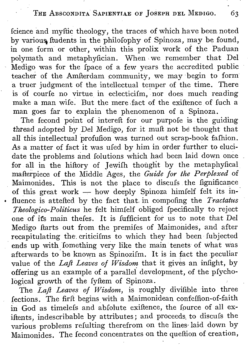Icience and myftic theology, the traces of which have been. noted by variouq ftudents in the philofophy of Spinoza, may be found, in one form or other, within this prolix work of the Paduan polymath and metaphyfician. When we remember that Del Medigo was for the fpace of a few years the accredited public teacher of the Amfterdam community, we may begin to form a truer judgment of the intellectual temper of the time. There is of courfe no virtue in eclecticifm, nor does much reading make a man wife. But the mere fact of the exiftence of fuch a man goes far to explain the phenomenon of a Spinoza.

The fecond point of intereft for our purpofe is the guiding thread adopted by Del Medigo, for it muft not be thought that all this intellectual profufion was turned out scrap-book fafhion. As a matter of fact it was ufed by him in order further to elucidate the problems and folutions which had been laid down once for all in the hiftory of jewifh thought by the metaphyfical mafterpiece of the Middle Ages, the *Guide for the Perplexed* of Maimonides. This is not the place to discufs the fignificance of this great work - how deeply Spinoza himfelf felt its in-• fluence is attefted by the fact that, in compofing the *Tractatus Theologico-Politicus* he felt himfelf obliged fpecifically to reject one of its main thefes. It is fufficient for us to note that Del Medigo ftarts out from the premifes of Maimonides, and after recapitulating the, criticifms to which they had been fubjected . ends up with Iomething very like the main tenets of what was afterwards to'be known as Spinozifm. It is in fact the peculiar value of the *Lafl Leaves of Wisdom* that it gives an infight, by offering us an example of a parallel development, of the pfychological growth of the fyftem of Spinoza.

The *Lafl Leaves of Wisdom,* is roughly divifible into three fections. The firft begins with a Maimonidean confeffion-of-faith in God as timelefs and abfolute exiftence, the Iource of all exiftents, indescribable by attributes; and proceeds. to discufs the various problems refulting therefrom on the lines-laid down by Maimonides. The Iecond concentrates on the queftion of creation,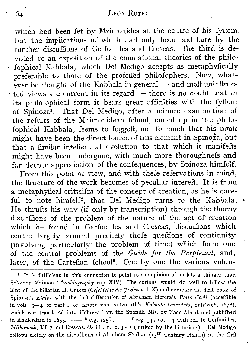which had been fet by Maimonides at the centre of his fyftem, but the implications of which had only been laid bare by. the further discuffions of Gerfonides and Crescas. The third is devoted to an expofition of the emanational theories of the philofophical Kabbala, which Del Medigo accepts as metaphyfically 'preferable to thofe of the profe1Ted philofophers. Now, whatever be thought of the Kabbala in general  $-$  and moft uninftructed views are current in its regard  $-$  there is no doubt that in its philofophical form it bears great affinities with the fyftem of Spinoza<sup>1</sup>. That Del Medigo, after a minute examination of the refults of the Maimonidean fchool, ended up in the philofophical.Kabbala, feems to fuggeft, not fo much that his book might have been the direct fource of this element in Spinoza , but that a fimilar intellectual evolution to that which it manifefts might have been undergone, with much more thoroughnefs and far deeper appreciation of the confequences, by Spinoza himfelf.

From this point of view, and with thefe refervations in mind, the ftructure of the work becomes of peculiar intereft. **It**is from a metaphyfical criticifm of the concept of creation, as he is careful to note himfelf<sup>2</sup>, that Del Medigo turns to the Kabbala. • He thrufts his way (if only by transcription) through the thorny discuflions of the problem of the nature of the act of creation which he found in Gerfonides and Crescas, 'discuffions which centre largely around precifely thofe queftions of continuity (involving particularly' the problem of time) which form one. of the central problems of the *Guide for the Perplexed,* and, later, of the Cartefian Ichool<sup>3</sup>. One by one the various volun-

1 It is fufficient in this connexion to point to the opinion of no lefs a thinker than Solomon Maimon *(Autobiography* cap. XIV). The curious would do well to follow the hint of the hiftorian H. Graetz *(Gefchichte der 'Juden* vol. X) and compare the firft book of Spinoza's *Ethics* with the firft differtation of Abraham Herera's *Porta Coeli* (acceffible in vols 3-4 of part 1 of Knorr von Rofenroth's *Kabbala Denudata,* Sulzbach, 1678), which was translated into Hebrew from the Spanifh Mfs. by Ifaac Aboab and publifhed in Amfterdam in 1655.  $-$  <sup>2</sup> e.g. 125b.  $-$  <sup>3</sup> e.g. pp. 100-4 with ref. to Gerfonides, *Milhamoth*, VI. 7 and Crescas, Or III. 1. S. 3-5 (burked by the hiftorians). [Del Medigo follows clofely on the discuffions of Abraham Shalom ( $15<sup>th</sup>$  Century Italian) in the firft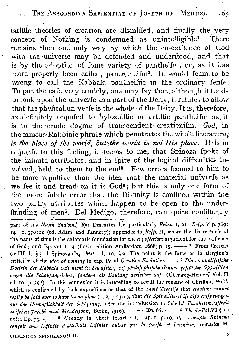THE ABSCONDITA SAPIENTIAE OF JOSEPH DEL MEDIGO. 65

tariftic theories of creation are, dismiffed, and finally .the very concept of Nothing is condemned as unintelligible<sup>1</sup>. There remains then one only way by which the co-exiftence of God with the univerfe may be defended and underftood, and that is by the adoption of fome variety of pantheifm, or, as it has more properly been called, panentheifm<sup>2</sup>. It would feem to be wrong to call the Kabbala pantheiftic in the ordinary fenfe. To put the cafe very crudely, one may fay that, although it tends to look upon the univerfe as a part of the Deity, it refufes to allow that the phyfical univerfe is the whole of the Deity. It is, therefore, as, definitely oppofed .to hylozoiftic or artiftic pantheifm as it is to the crude dogma of transcendent. creationifm.  $God$ , in the famous Rabbinic phrafe which penetrates the whole literature. *is the place of the world, but-the world is not His place.* It is in refponfe to this feeling, it feems to me, that Spinoza fpoke of the infinite attributes, and in fpite of the logical difficulties involved, held to them to the end". Few errors Ieemed to him to be more repulfive than the idea that the material univerfe as we fee it and tread on it is God<sup>4</sup>; but this is only one form of the more fubtle error that the Divinity is confined within the two paltry attributes which happen to be open to the underftanding of men<sup>5</sup>. Del Medigo, therefore, can quite confiftently

part of his *Neueh, Shalom.]* For Descartes fee particularly *Prine.* I, 21; *Refp.* V p. 369: I4-P. 370:12 (ed. Adam and Tannery); appendix to *Refp.* II, where the discretenefs of the parts of time is the axiomatic foundation for the *a pofterion* argument for the exiftence of God; and Ep. vol. II, 4 (Latin edition Amfterdam 1668) p. 15.  $\frac{1}{1}$  From Crescas *Or* III. 1. § 5 d. Spinoza *Cog. Met.* II, 10, § 2. The point is the fame as in Bergfon's criticifm of the *idea of nothing* in cap. IV of *Creative Evolution.--.* <sup>2</sup> *Die emanatiftifche Doctrin der Kabbala tritt nickt in bewufster, auf philofophifche Grilnde geftiltzter Oppofition gegen die Schopfungslehre, [andern. als Deutung derfelben auf.* (Uberweg-Heinzej Vol. II ed. 10, p. 392). In this connexion it is interefting to recall the remark of Chriftian Wolf. which is confirmed by fuch expreffions as that of the *Short Treaiije* that *creation cannot r~ally be frzid ever to have taken place* (I. 2, P.23n.). that *die Spinozifterei ilt alfo entfprungen aus der Unmdglichleeit der, Sckopfung.* (See the introduction to Scholz' *Pantheismusltreit zwilchen 'Jacobi und Mendellohn,* Berlin, 1916). --', <sup>3</sup> Ep. 66. -- <sup>4</sup> *Theol.-Pol.VI* § 10 note; Ep. 73. -- <sup>5</sup> Already in Short Treatife I, cap. 1, p. 19, 17f. *Lorsque Spinoza confoit une infinite d' attributs infinies autres que la penile et I'etendne,* remarks M. 5 CHRONICON SPINOZANUM II.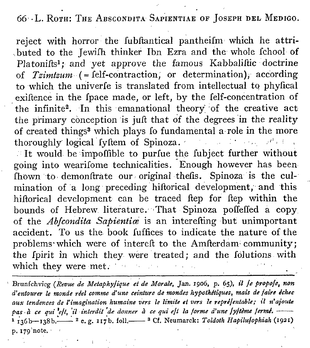66 L. ROTH: THE ABSCONDITA SAPIENTIAE OF JOSEPH DEL MEDIGO.

reject with horror the fubftantical pantheifm which he attri- ,bu ted to the Jewifh thinker Ibn Ezra and the whole fchool of Platonifts<sup>1</sup>; and yet approve the famous Kabbaliftic doctrine of *Tzimtzum* (= felf-contraction, or determination); according to which the univerfe is translated from intellectual to phyfical . exiftence in the fpace made, or left, by the Ielf-concentration of the infinite<sup>2</sup>. In this emanational theory of the creative act the primary conception is juft that of the degrees in the reality of created things" which plays fo fundamental a-role in the more thoroughly logical fyftem of Spinoza.  $r^2 + r^2$ 

It would be impoffible to purfue the fubject further without going into wearifome technicalities. Enough however has been Ihown to demonftrate our original thefis. Spinoza is the culmination of a long preceding hiftorical development, and this hiftorical development can be traced ftep for ftep within the bounds of Hebrew literature. That Spinoza poffeffed a copy of the *Ablcondita Sapientic* is an interefting but unimportant accident. To us the book fuffices to indicate the nature of the problems' which were of intereft to the Amfterdam community; the fpirit in which they were treated; and the Iolutions with which they were met.

, Brunfchvicg *(Revue de MetaphyJique et de Morale,* Jan. 1906, p. 65), *il [e propo]«, non d'eniourer le monde reel comme d'une ceiniure de mondes hypothCtiques, mais de [air« echee aux tendences de l'imagination humaine oers le limite et uers le reprelentable; il n'ajoute* pas à ce qui est, il interdit de donner à ce qui est la forme d'une système ferme. 1 136b-138b.<sup>----</sup> <sup>2</sup> e.g. 117b. foll.<sup>--8</sup> Cf. Neumarck: *Toldoth Hapilulophiah* (1921) p. 179'note. '